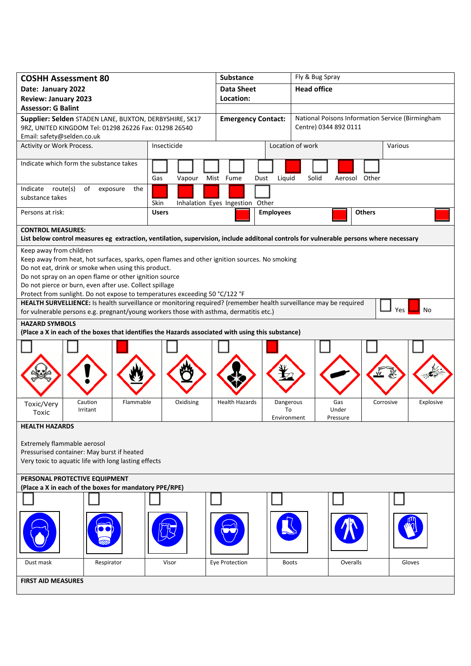| <b>COSHH Assessment 80</b>                                                                                                                    |                           | Substance                       |                                                  | Fly & Bug Spray          |                        |  |
|-----------------------------------------------------------------------------------------------------------------------------------------------|---------------------------|---------------------------------|--------------------------------------------------|--------------------------|------------------------|--|
| Date: January 2022                                                                                                                            | <b>Data Sheet</b>         |                                 | <b>Head office</b>                               |                          |                        |  |
| <b>Review: January 2023</b>                                                                                                                   | Location:                 |                                 |                                                  |                          |                        |  |
| <b>Assessor: G Balint</b>                                                                                                                     | <b>Emergency Contact:</b> |                                 | National Poisons Information Service (Birmingham |                          |                        |  |
| Supplier: Selden STADEN LANE, BUXTON, DERBYSHIRE, SK17<br>9RZ, UNITED KINGDOM Tel: 01298 26226 Fax: 01298 26540<br>Email: safety@selden.co.uk |                           |                                 |                                                  | Centre) 0344 892 0111    |                        |  |
| Activity or Work Process.                                                                                                                     | Insecticide               |                                 |                                                  | Location of work         | Various                |  |
| Indicate which form the substance takes                                                                                                       | Gas<br>Vapour             | Mist Fume<br>Dust               | Liquid                                           | Solid<br>Aerosol Other   |                        |  |
| Indicate route(s)<br>of<br>exposure<br>the<br>substance takes                                                                                 | Skin                      | Inhalation Eyes Ingestion Other |                                                  |                          |                        |  |
| Persons at risk:                                                                                                                              | <b>Users</b>              |                                 | <b>Employees</b>                                 | <b>Others</b>            |                        |  |
| <b>CONTROL MEASURES:</b>                                                                                                                      |                           |                                 |                                                  |                          |                        |  |
| List below control measures eg extraction, ventilation, supervision, include additonal controls for vulnerable persons where necessary        |                           |                                 |                                                  |                          |                        |  |
| Keep away from children<br>Keep away from heat, hot surfaces, sparks, open flames and other ignition sources. No smoking                      |                           |                                 |                                                  |                          |                        |  |
| Do not eat, drink or smoke when using this product.                                                                                           |                           |                                 |                                                  |                          |                        |  |
| Do not spray on an open flame or other ignition source                                                                                        |                           |                                 |                                                  |                          |                        |  |
| Do not pierce or burn, even after use. Collect spillage<br>Protect from sunlight. Do not expose to temperatures exceeding 50 °C/122 °F        |                           |                                 |                                                  |                          |                        |  |
| HEALTH SURVELLIENCE: Is health surveillance or monitoring required? (remember health surveillance may be required                             |                           |                                 |                                                  |                          |                        |  |
| for vulnerable persons e.g. pregnant/young workers those with asthma, dermatitis etc.)                                                        |                           |                                 |                                                  |                          | Yes<br>No              |  |
| <b>HAZARD SYMBOLS</b><br>(Place a X in each of the boxes that identifies the Hazards associated with using this substance)                    |                           |                                 |                                                  |                          |                        |  |
|                                                                                                                                               |                           |                                 |                                                  |                          |                        |  |
| Caution<br>Flammable<br>Toxic/Very<br>Irritant<br>Toxic                                                                                       | Oxidising                 | <b>Health Hazards</b>           | Dangerous<br>To<br>Environment                   | Gas<br>Under<br>Pressure | Corrosive<br>Explosive |  |
| <b>HEALTH HAZARDS</b>                                                                                                                         |                           |                                 |                                                  |                          |                        |  |
| Extremely flammable aerosol<br>Pressurised container: May burst if heated<br>Very toxic to aquatic life with long lasting effects             |                           |                                 |                                                  |                          |                        |  |
| PERSONAL PROTECTIVE EQUIPMENT<br>(Place a X in each of the boxes for mandatory PPE/RPE)                                                       |                           |                                 |                                                  |                          |                        |  |
|                                                                                                                                               |                           |                                 |                                                  |                          |                        |  |
|                                                                                                                                               |                           |                                 |                                                  |                          |                        |  |
| Dust mask<br>Respirator                                                                                                                       | Visor                     | Eye Protection                  | <b>Boots</b>                                     | Overalls                 | Gloves                 |  |
| <b>FIRST AID MEASURES</b>                                                                                                                     |                           |                                 |                                                  |                          |                        |  |